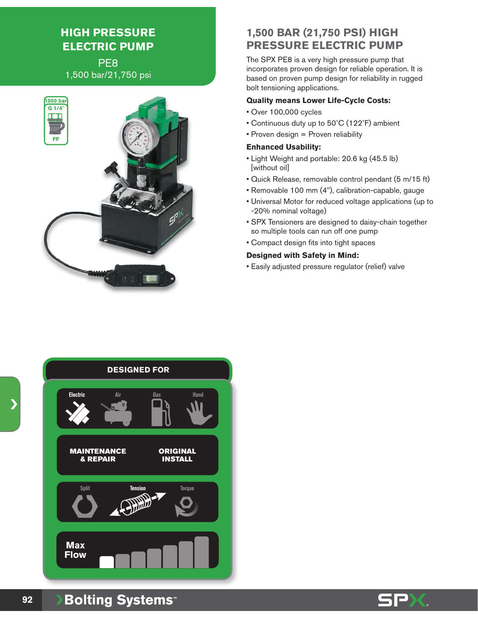# **HIGH PRESSURE ELECTRIC PUMP**

PE8 1,500 bar/21,750 psi



## **1,500 BAR (21,750 PSI) HIGH PRESSURE ELECTRIC PUMP**

The SPX PE8 is a very high pressure pump that incorporates proven design for reliable operation. It is based on proven pump design for reliability in rugged bolt tensioning applications.

#### **Quality means Lower Life-Cycle Costs:**

- Over 100,000 cycles
- Continuous duty up to 50˚C (122˚F) ambient
- Proven design = Proven reliability

#### **Enhanced Usability:**

- Light Weight and portable: 20.6 kg (45.5 lb) [without oil]
- Quick Release, removable control pendant (5 m/15 ft)
- Removable 100 mm (4"), calibration-capable, gauge
- Universal Motor for reduced voltage applications (up to -20% nominal voltage)
- SPX Tensioners are designed to daisy-chain together so multiple tools can run off one pump
- Compact design fits into tight spaces

#### **Designed with Safety in Mind:**

• Easily adjusted pressure regulator (relief) valve